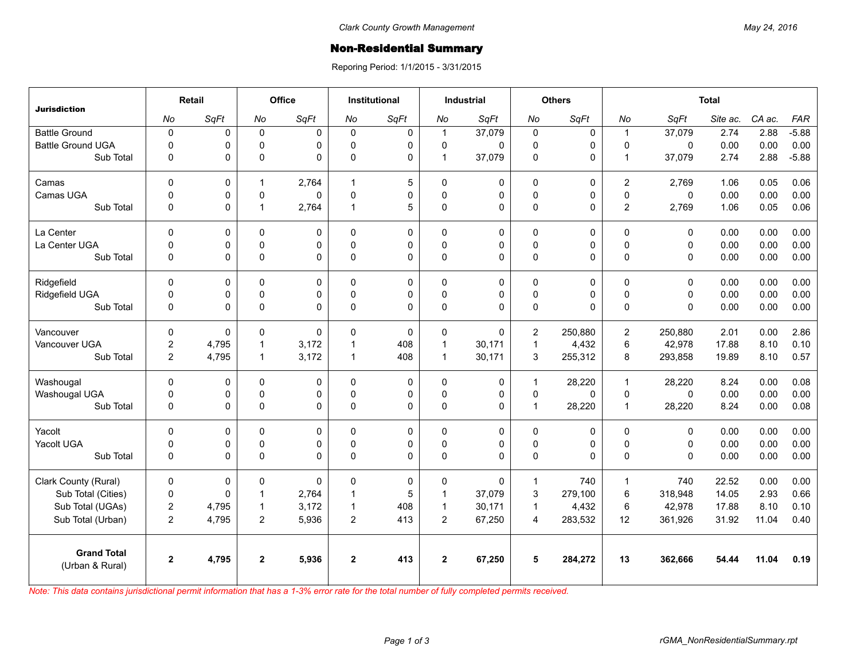## **Non-Residential Summary**

Reporing Period: 1/1/2015 - 3/31/2015

| <b>Jurisdiction</b>                   | Retail         |                | Office         |              | <b>Institutional</b> |          | <b>Industrial</b> |          | <b>Others</b>  |             | <b>Total</b>   |              |          |        |         |
|---------------------------------------|----------------|----------------|----------------|--------------|----------------------|----------|-------------------|----------|----------------|-------------|----------------|--------------|----------|--------|---------|
|                                       | No             | SqFt           | No             | SqFt         | No                   | SqFt     | No                | SqFt     | No             | SqFt        | No             | SqFt         | Site ac. | CA ac. | FAR     |
| <b>Battle Ground</b>                  | $\mathbf 0$    | 0              | $\Omega$       | $\Omega$     | $\Omega$             | 0        | $\mathbf{1}$      | 37,079   | $\mathbf 0$    | $\mathbf 0$ | $\mathbf{1}$   | 37,079       | 2.74     | 2.88   | $-5.88$ |
| <b>Battle Ground UGA</b>              | $\mathbf 0$    | 0              | $\mathbf 0$    | $\Omega$     | $\Omega$             | 0        | $\mathbf 0$       | $\Omega$ | $\mathbf 0$    | 0           | $\Omega$       | 0            | 0.00     | 0.00   | 0.00    |
| Sub Total                             | $\Omega$       | 0              | $\Omega$       | $\Omega$     | $\Omega$             | 0        | $\mathbf{1}$      | 37,079   | $\pmb{0}$      | $\Omega$    | $\overline{1}$ | 37,079       | 2.74     | 2.88   | $-5.88$ |
| Camas                                 | $\mathbf{0}$   | 0              | $\mathbf{1}$   | 2,764        | $\overline{1}$       | 5        | $\mathbf 0$       | $\Omega$ | 0              | 0           | $\overline{2}$ | 2,769        | 1.06     | 0.05   | 0.06    |
| Camas UGA                             | $\mathbf 0$    | 0              | 0              | $\mathbf{0}$ | $\mathbf{0}$         | 0        | $\mathbf 0$       | 0        | $\mathbf 0$    | 0           | $\mathbf{0}$   | $\Omega$     | 0.00     | 0.00   | 0.00    |
| Sub Total                             | $\mathbf 0$    | 0              | $\overline{1}$ | 2,764        | $\overline{1}$       | 5        | $\mathbf{0}$      | $\Omega$ | 0              | 0           | $\overline{2}$ | 2,769        | 1.06     | 0.05   | 0.06    |
| La Center                             | $\mathbf{0}$   | 0              | $\Omega$       | $\Omega$     | $\Omega$             | 0        | $\mathbf{0}$      | $\Omega$ | $\mathbf{0}$   | 0           | $\Omega$       | $\Omega$     | 0.00     | 0.00   | 0.00    |
| La Center UGA                         | $\mathbf 0$    | 0              | 0              | 0            | $\Omega$             | 0        | 0                 | 0        | $\mathbf 0$    | 0           | $\Omega$       | $\mathbf 0$  | 0.00     | 0.00   | 0.00    |
| Sub Total                             | $\mathbf{0}$   | 0              | $\Omega$       | $\Omega$     | $\Omega$             | 0        | $\mathbf{0}$      | $\Omega$ | 0              | 0           | $\Omega$       | $\Omega$     | 0.00     | 0.00   | 0.00    |
| Ridgefield                            | $\Omega$       | 0              | $\Omega$       | $\Omega$     | $\Omega$             | 0        | $\mathbf{0}$      | $\Omega$ | $\Omega$       | 0           | $\Omega$       | $\Omega$     | 0.00     | 0.00   | 0.00    |
| Ridgefield UGA                        | $\mathbf 0$    | 0              | 0              | 0            | $\Omega$             | 0        | 0                 | 0        | $\pmb{0}$      | 0           | $\Omega$       | 0            | 0.00     | 0.00   | 0.00    |
| Sub Total                             | $\mathbf{0}$   | $\overline{0}$ | $\Omega$       | $\Omega$     | $\mathbf{0}$         | 0        | $\mathbf{0}$      | $\Omega$ | 0              | 0           | $\Omega$       | $\Omega$     | 0.00     | 0.00   | 0.00    |
| Vancouver                             | $\mathbf 0$    | 0              | $\Omega$       | $\mathbf{0}$ | $\Omega$             | $\Omega$ | $\mathbf{0}$      | $\Omega$ | $\overline{2}$ | 250,880     | $\overline{2}$ | 250,880      | 2.01     | 0.00   | 2.86    |
| Vancouver UGA                         | $\overline{c}$ | 4,795          | $\mathbf{1}$   | 3,172        | 1                    | 408      | $\overline{1}$    | 30,171   | $\mathbf{1}$   | 4,432       | 6              | 42,978       | 17.88    | 8.10   | 0.10    |
| Sub Total                             | $\overline{2}$ | 4,795          | $\overline{1}$ | 3,172        | 1                    | 408      | $\mathbf 1$       | 30,171   | 3              | 255,312     | 8              | 293,858      | 19.89    | 8.10   | 0.57    |
| Washougal                             | $\Omega$       | 0              | $\Omega$       | $\Omega$     | $\Omega$             | 0        | $\mathbf{0}$      | $\Omega$ | $\mathbf{1}$   | 28,220      | $\overline{1}$ | 28,220       | 8.24     | 0.00   | 0.08    |
| Washougal UGA                         | $\mathbf 0$    | 0              | $\mathbf 0$    | 0            | $\Omega$             | 0        | 0                 | 0        | $\pmb{0}$      | 0           | 0              | $\mathbf{0}$ | 0.00     | 0.00   | 0.00    |
| Sub Total                             | $\mathbf 0$    | 0              | $\pmb{0}$      | $\Omega$     | $\Omega$             | 0        | $\mathbf{0}$      | $\Omega$ | $\mathbf{1}$   | 28,220      | $\overline{1}$ | 28,220       | 8.24     | 0.00   | 0.08    |
| Yacolt                                | $\pmb{0}$      | 0              | 0              | $\Omega$     | $\Omega$             | 0        | $\mathbf{0}$      | $\Omega$ | $\pmb{0}$      | 0           | $\Omega$       | $\Omega$     | 0.00     | 0.00   | 0.00    |
| Yacolt UGA                            | 0              | 0              | 0              | 0            | $\Omega$             | 0        | 0                 | 0        | $\pmb{0}$      | 0           | $\Omega$       | $\mathbf 0$  | 0.00     | 0.00   | 0.00    |
| Sub Total                             | $\mathbf{0}$   | 0              | $\Omega$       | $\Omega$     | $\Omega$             | 0        | $\mathbf{0}$      | $\Omega$ | 0              | $\Omega$    | $\Omega$       | $\Omega$     | 0.00     | 0.00   | 0.00    |
| Clark County (Rural)                  | $\pmb{0}$      | 0              | 0              | $\Omega$     | $\Omega$             | 0        | $\mathbf{0}$      | $\Omega$ | $\mathbf{1}$   | 740         | $\mathbf{1}$   | 740          | 22.52    | 0.00   | 0.00    |
| Sub Total (Cities)                    | $\pmb{0}$      | 0              | $\mathbf{1}$   | 2,764        | $\mathbf 1$          | 5        | $\mathbf{1}$      | 37,079   | 3              | 279,100     | 6              | 318,948      | 14.05    | 2.93   | 0.66    |
| Sub Total (UGAs)                      | $\overline{c}$ | 4,795          | $\mathbf{1}$   | 3,172        | $\overline{1}$       | 408      | $\overline{1}$    | 30,171   | $\mathbf{1}$   | 4,432       | 6              | 42,978       | 17.88    | 8.10   | 0.10    |
| Sub Total (Urban)                     | $\overline{2}$ | 4,795          | $\overline{2}$ | 5,936        | $\overline{2}$       | 413      | $\overline{2}$    | 67,250   | $\overline{4}$ | 283,532     | 12             | 361,926      | 31.92    | 11.04  | 0.40    |
| <b>Grand Total</b><br>(Urban & Rural) | $\overline{2}$ | 4,795          | $\mathbf{2}$   | 5,936        | $\mathbf{2}$         | 413      | $\mathbf{2}$      | 67,250   | 5              | 284,272     | 13             | 362,666      | 54.44    | 11.04  | 0.19    |

*Note: This data contains jurisdictional permit information that has a 1-3% error rate for the total number of fully completed permits received.*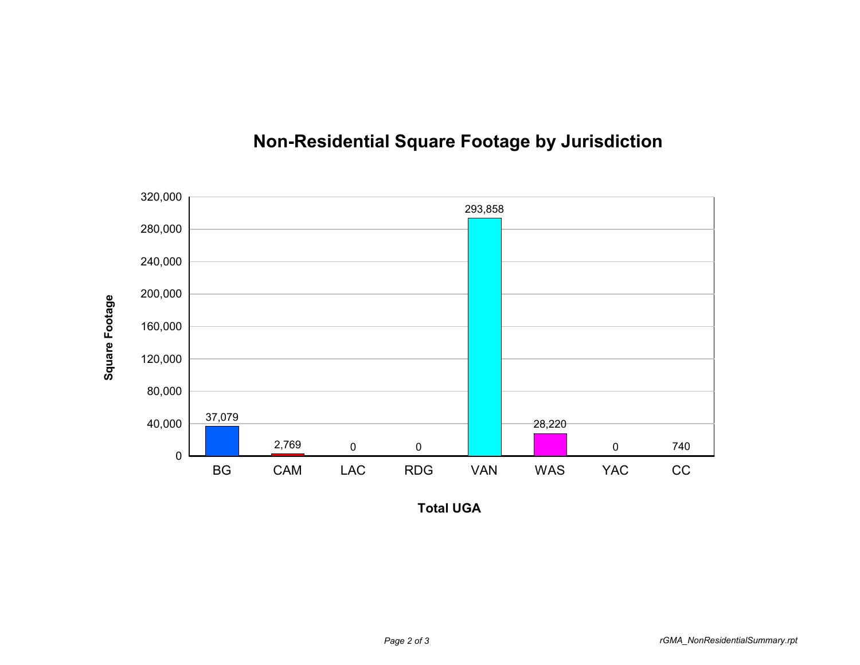

## **Non-Residential Square Footage by Jurisdiction**

**Total UGA**